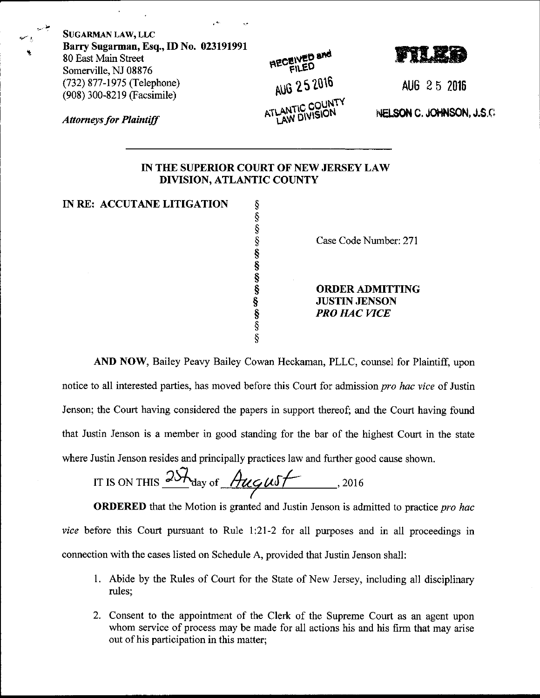| <b>SUGARMAN LAW, LLC</b><br>Barry Sugarman, Esq., ID No. 023191991<br>80 East Main Street | <b>HECEIVED and</b> |                           |
|-------------------------------------------------------------------------------------------|---------------------|---------------------------|
| Somerville, NJ 08876<br>(732) 877-1975 (Telephone)<br>(908) 300-8219 (Facsimile)          | AUG 25 2016         | AUG 25 2016               |
| <b>Attorneys for Plaintiff</b>                                                            | ATLANTIC COUNTY     | NELSON C. JOHNSON, J.S.C. |
| IN THE SUPERIOR COURT OF NEW JERSEY LAW                                                   |                     |                           |

## **DIVISION, ATLANTIC COUNTY**

| IN RE: ACCUTANE LITIGATION |                        |
|----------------------------|------------------------|
|                            |                        |
|                            |                        |
|                            | Case Code Number: 271  |
|                            |                        |
|                            |                        |
|                            |                        |
|                            | <b>ORDER ADMITTING</b> |
|                            | <b>JUSTIN JENSON</b>   |
|                            | <b>PRO HAC VICE</b>    |
|                            |                        |
|                            |                        |

AND NOW, Bailey Peavy Bailey Cowan Heckaman, PLLC, counsel for Plaintiff, upon notice to all interested parties, has moved before this Court for admission pro hac vice of Justin Jenson; the Court having considered the papers in support thereof; and the Court having found that Justin Jenson is a member in good standing for the bar of the highest Court in the state where Justin Jenson resides and principally practices law and further good cause shown.

IT IS ON THIS  $25\frac{\lambda_{\text{day of}}}{\lambda_{\text{day of}} + \lambda_{\text{avg}}}}$ , 2016

**ORDERED** that the Motion is granted and Justin Jenson is admitted to practice pro hac vice before this Court pursuant to Rule 1:21-2 for all purposes and in all proceedings in connection with the cases listed on Schedule A, provided that Justin Jenson shall:

- 1. Abide by the Rules of Court for the State of New Jersey, including all disciplinary rules;
- 2. Consent to the appointment of the Clerk of the Supreme Court as an agent upon whom service of process may be made for all actions his and his firm that may arise out of his participation in this matter;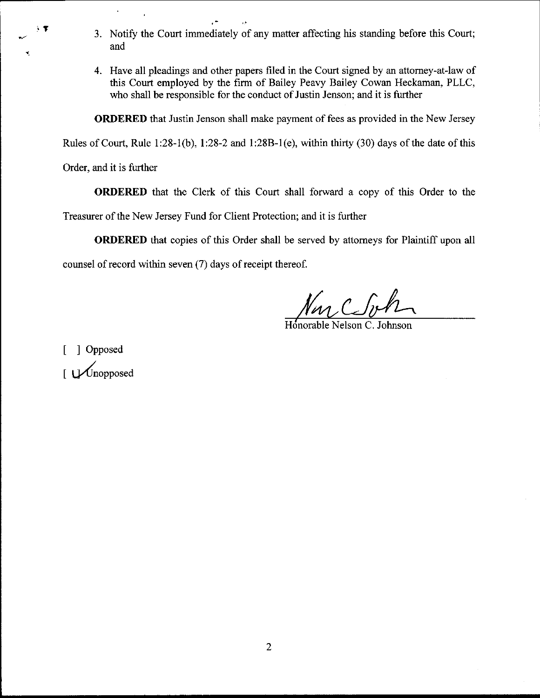- 3. Notify the Court immediately of any matter affecting his standing before this Court; and
- 4. Have all pleadings and other papers filed in the Court signed by an attorney-at-law of this Court employed by the firm of Bailey Peavy Bailey Cowan Heckaman, PLLC, who shall be responsible for the conduct of Justin Jenson; and it is further

ORDERED that Justin Jenson shall make payment of fees as provided in the New Jersey

Rules of Court, Rule 1:28-1(b), 1:28-2 and 1:28B-1(e), within thirty  $(30)$  days of the date of this

Order, and it is further

 $\cdot$ 

ORDERED that the Clerk of this Court shall forward a copy of this Order to the

Treasurer of the New Jersey Fund for Client Protection; and it is further

ORDERED that copies of this Order shall be served by attorneys for Plaintiff upon all

counsel of record within seven (7) days of receipt thereof.

Nas CSit

Snorable Nelson C. Johnson

[ ] Opposed  $\bigcup$  Unopposed